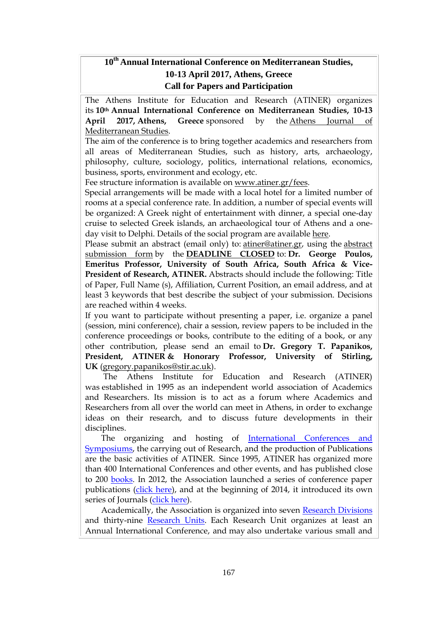## **10th Annual International Conference on Mediterranean Studies, 10-13 April 2017, Athens, Greece Call for Papers and Participation**

The Athens Institute for Education and Research (ATINER) organizes its **10th Annual International Conference on Mediterranean Studies, 10-13 April 2017, Athens, Greece** sponsored by the Athens [Journal](http://www.athensjournals.gr/ajms) of [Mediterranean](http://www.athensjournals.gr/ajms) Studies.

The aim of the conference is to bring together academics and researchers from all areas of Mediterranean Studies, such as history, arts, archaeology, philosophy, culture, sociology, politics, international relations, economics, business, sports, environment and ecology, etc.

Fee structure information is available on [www.atiner.gr/fees.](http://www.atiner.gr/fees)

Special arrangements will be made with a local hotel for a limited number of rooms at a special conference rate. In addition, a number of special events will be organized: A Greek night of entertainment with dinner, a special one-day cruise to selected Greek islands, an archaeological tour of Athens and a oneday visit to Delphi. Details of the social program are available [here.](http://www.atiner.gr/social-program)

Please submit an abstract (email only) to: [atiner@atiner.gr,](mailto:atiner@atiner.gr) using the [abstract](http://www.atiner.gr/2017/FORM-MDT.doc) [submission](http://www.atiner.gr/2017/FORM-MDT.doc) form by the **DEADLINE CLOSED** to: **Dr. George Poulos, Emeritus Professor, University of South Africa, South Africa & Vice-President of Research, ATINER.** Abstracts should include the following: Title of Paper, Full Name (s), Affiliation, Current Position, an email address, and at least 3 keywords that best describe the subject of your submission. Decisions are reached within 4 weeks.

If you want to participate without presenting a paper, i.e. organize a panel (session, mini conference), chair a session, review papers to be included in the conference proceedings or books, contribute to the editing of a book, or any other contribution, please send an email to **Dr. Gregory T. Papanikos, President, ATINER & Honorary Professor, University of Stirling, UK** [\(gregory.papanikos@stir.ac.uk\)](mailto:gregory.papanikos@stir.ac.uk).

The Athens Institute for Education and Research (ATINER) was established in 1995 as an independent world association of Academics and Researchers. Its mission is to act as a forum where Academics and Researchers from all over the world can meet in Athens, in order to exchange ideas on their research, and to discuss future developments in their disciplines.

The organizing and hosting of **International Conferences and** [Symposiums,](http://www.atiner.gr/Conferences.htm) the carrying out of Research, and the production of Publications are the basic activities of ATINER. Since 1995, ATINER has organized more than 400 International Conferences and other events, and has published close to 200 [books.](http://www.atiner.gr/Publications.htm) In 2012, the Association launched a series of conference paper publications [\(click here\)](http://www.atiner.gr/papers.htm), and at the beginning of 2014, it introduced its own series of Journals [\(click here\)](http://www.athensjournals.gr/).

Academically, the Association is organized into seven [Research Divisions](http://www.atiner.gr/RESEARCH-DIVISIONS.htm) and thirty-nine [Research Units.](http://www.atiner.gr/RESEARCH-DIVISIONS.htm) Each Research Unit organizes at least an Annual International Conference, and may also undertake various small and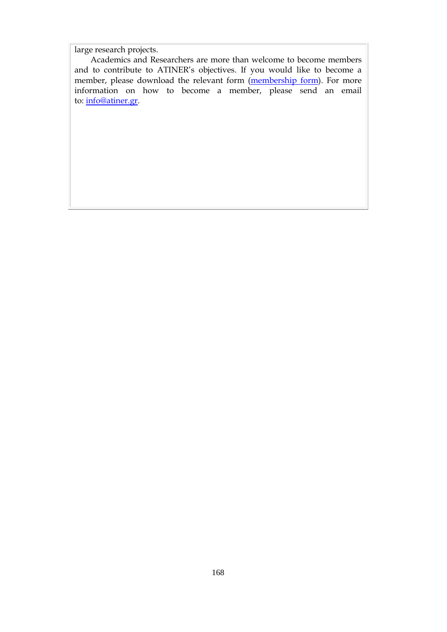large research projects.

Academics and Researchers are more than welcome to become members and to contribute to ATINER's objectives. If you would like to become a member, please download the relevant form [\(membership form\)](http://www.atiner.gr/docs/MEMBER_FORM.doc). For more information on how to become a member, please send an email to: [info@atiner.gr.](mailto:info@atiner.gr)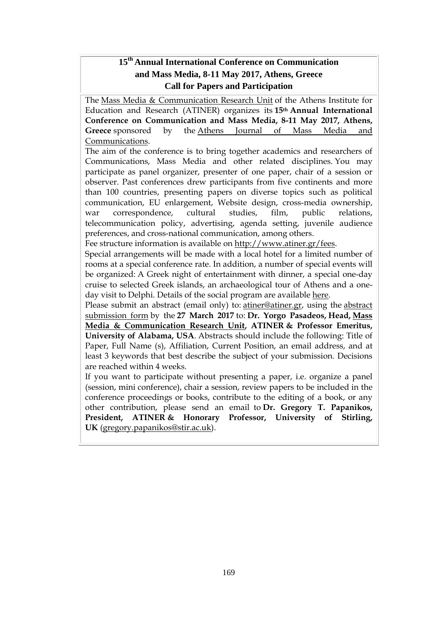#### **15th Annual International Conference on Communication and Mass Media, 8-11 May 2017, Athens, Greece Call for Papers and Participation**

The Mass Media & [Communication](http://www.atiner.gr/docs/MEDIA_UNIT.htm) Research Unit of the Athens Institute for Education and Research (ATINER) organizes its **15th Annual International Conference on Communication and Mass Media, 8-11 May 2017, Athens, Greece** sponsored by the Athens [Journal](http://www.athensjournals.gr/ajmmc) of Mass Media and [Communications.](http://www.athensjournals.gr/ajmmc)

The aim of the conference is to bring together academics and researchers of Communications, Mass Media and other related disciplines. You may participate as panel organizer, presenter of one paper, chair of a session or observer. Past conferences drew participants from five continents and more than 100 countries, presenting papers on diverse topics such as political communication, EU enlargement, Website design, cross-media ownership, war correspondence, cultural studies, film, public relations, telecommunication policy, advertising, agenda setting, juvenile audience preferences, and cross-national communication, among others.

Fee structure information is available on [http://www.atiner.gr/fees.](http://www.atiner.gr/fees)

Special arrangements will be made with a local hotel for a limited number of rooms at a special conference rate. In addition, a number of special events will be organized: A Greek night of entertainment with dinner, a special one-day cruise to selected Greek islands, an archaeological tour of Athens and a oneday visit to Delphi. Details of the social program are available [here.](http://www.atiner.gr/social-program)

Please submit an abstract (email only) to: [atiner@atiner.gr,](mailto:atiner@atiner.gr) using the [abstract](http://www.atiner.gr/2016/FORM-MED.doc) [submission](http://www.atiner.gr/2016/FORM-MED.doc) form by the **27 March 2017** to: **Dr. Yorgo Pasadeos, Head, [Mass](http://www.atiner.gr/docs/MEDIA_UNIT.htm) Media & [Communication](http://www.atiner.gr/docs/MEDIA_UNIT.htm) Research Unit, ATINER & Professor Emeritus, University of Alabama, USA**. Abstracts should include the following: Title of Paper, Full Name (s), Affiliation, Current Position, an email address, and at least 3 keywords that best describe the subject of your submission. Decisions are reached within 4 weeks.

If you want to participate without presenting a paper, i.e. organize a panel (session, mini conference), chair a session, review papers to be included in the conference proceedings or books, contribute to the editing of a book, or any other contribution, please send an email to **Dr. Gregory T. Papanikos, President, ATINER & Honorary Professor, University of Stirling, UK** [\(gregory.papanikos@stir.ac.uk\)](mailto:gregory.papanikos@stir.ac.uk).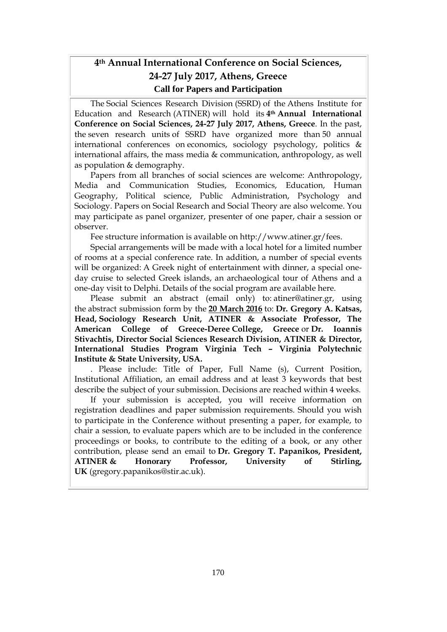# **4th Annual International Conference on Social Sciences, 24-27 July 2017, Athens, Greece Call for Papers and Participation**

The [Social Sciences Research Division](http://www.atiner.gr/SSRD.htm) (SSRD) of the Athens Institute for Education and Research (ATINER) will hold its **4th Annual International Conference on Social Sciences, 24-27 July 2017, Athens, Greece**. In the past, the [seven research units](http://www.atiner.gr/SSRD.htm) of SSRD have organized more than 50 annual international conferences on economics, sociology psychology, politics & international affairs, the mass media & communication, anthropology, as well as population & demography.

Papers from all branches of social sciences are welcome: Anthropology, Media and Communication Studies, Economics, Education, Human Geography, Political science, Public Administration, Psychology and Sociology. Papers on Social Research and Social Theory are also welcome. You may participate as panel organizer, presenter of one paper, chair a session or observer.

Fee structure information is available on [http://www.atiner.gr/fees.](http://www.atiner.gr/fees)

Special arrangements will be made with a local hotel for a limited number of rooms at a special conference rate. In addition, a number of special events will be organized: A Greek night of entertainment with dinner, a special oneday cruise to selected Greek islands, an archaeological tour of Athens and a one-day visit to Delphi. Details of the social program are available [here.](http://www.atiner.gr/social-program)

Please submit an abstract (email only) to: [atiner@atiner.gr,](mailto:atiner@atiner.gr) using the [abstract submission form](http://www.atiner.gr/2017/FORM-SOS.doc) by the **20 March 2016** to: **Dr. Gregory A. Katsas, Head, [Sociology Research Unit,](http://www.atiner.gr/docs/SOCIOLOGY_UNIT.htm) ATINER & Associate Professor, The American College of Greece-Deree College, Greece** or **Dr. Ioannis Stivachtis, Director [Social Sciences Research Division,](http://www.atiner.gr/SSRD.htm) ATINER & Director, International Studies Program Virginia Tech – Virginia Polytechnic Institute & State University, USA.**

. Please include: Title of Paper, Full Name (s), Current Position, Institutional Affiliation, an email address and at least 3 keywords that best describe the subject of your submission. Decisions are reached within 4 weeks.

If your submission is accepted, you will receive information on registration deadlines and paper submission requirements. Should you wish to participate in the Conference without presenting a paper, for example, to chair a session, to evaluate papers which are to be included in the conference proceedings or books, to contribute to the editing of a book, or any other contribution, please send an email to **Dr. Gregory T. Papanikos, President, ATINER & Honorary Professor, University of Stirling, UK** [\(gregory.papanikos@stir.ac.uk\)](mailto:gregory.papanikos@stir.ac.uk).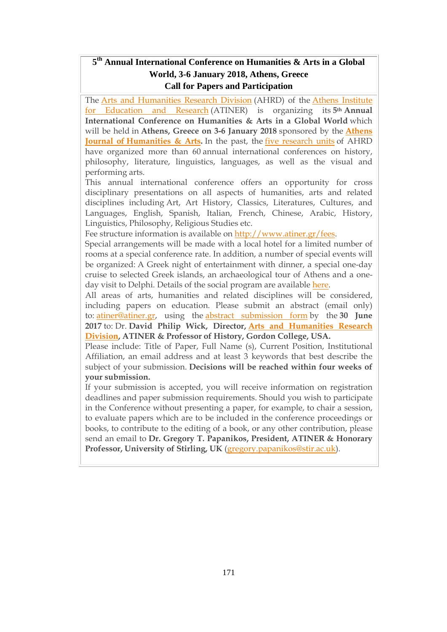## **5 th Annual International Conference on Humanities & Arts in a Global World, 3-6 January 2018, Athens, Greece Call for Papers and Participation**

The Arts and [Humanities](https://www.atiner.gr/AHRD.htm) Research Division (AHRD) of the Athens [Institute](http://www.atiner.gr/) for [Education](http://www.atiner.gr/) and Research (ATINER) is organizing its **5th Annual International Conference on Humanities & Arts in a Global World** which will be held in **Athens, Greece on 3-6 January 2018** sponsored by the **[Athens](http://www.athensjournals.gr/ajha) Journal of [Humanities](http://www.athensjournals.gr/ajha) & Arts.** In the past, the five [research](https://www.atiner.gr/AHRD.htm) units of AHRD have organized more than 60 annual international conferences on history, philosophy, literature, linguistics, languages, as well as the visual and performing arts.

This annual international conference offers an opportunity for cross disciplinary presentations on all aspects of humanities, arts and related disciplines including Art, Art History, Classics, Literatures, Cultures, and Languages, English, Spanish, Italian, French, Chinese, Arabic, History, Linguistics, Philosophy, Religious Studies etc.

Fee structure information is available on [http://www.atiner.gr/fees.](http://www.atiner.gr/fees)

Special arrangements will be made with a local hotel for a limited number of rooms at a special conference rate. In addition, a number of special events will be organized: A Greek night of entertainment with dinner, a special one-day cruise to selected Greek islands, an archaeological tour of Athens and a oneday visit to Delphi. Details of the social program are available [here.](http://www.atiner.gr/social-program)

All areas of arts, humanities and related disciplines will be considered, including papers on education. Please submit an abstract (email only) to: [atiner@atiner.gr,](mailto:atiner@atiner.gr) using the abstract [submission](http://www.atiner.gr/2018/FORM-HUM.doc) form by the **30 June 2017** to: Dr. **David Philip Wick, Director, Arts and [Humanities](http://www.atiner.gr/AHRD.htm) Research [Division,](http://www.atiner.gr/AHRD.htm) ATINER & Professor of History, Gordon College, USA.**

Please include: Title of Paper, Full Name (s), Current Position, Institutional Affiliation, an email address and at least 3 keywords that best describe the subject of your submission. **Decisions will be reached within four weeks of your submission.**

If your submission is accepted, you will receive information on registration deadlines and paper submission requirements. Should you wish to participate in the Conference without presenting a paper, for example, to chair a session, to evaluate papers which are to be included in the conference proceedings or books, to contribute to the editing of a book, or any other contribution, please send an email to **Dr. Gregory T. Papanikos, President, ATINER & Honorary Professor, University of Stirling, UK** [\(gregory.papanikos@stir.ac.uk\)](mailto:gregory.papanikos@stir.ac.uk).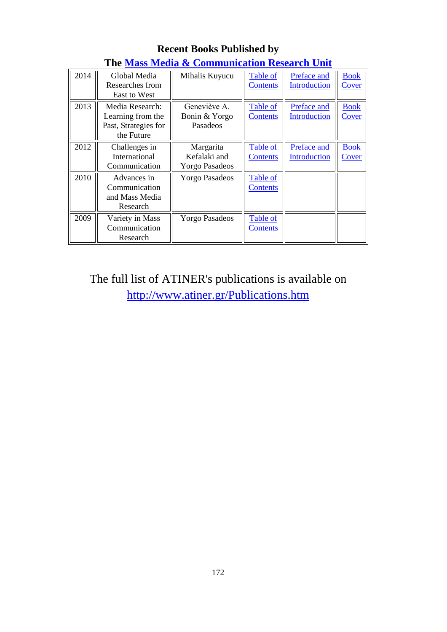| <u>on nobem on oni</u> |                                                                            |                                                    |                                    |                                    |                      |
|------------------------|----------------------------------------------------------------------------|----------------------------------------------------|------------------------------------|------------------------------------|----------------------|
| 2014                   | Global Media<br>Researches from<br>East to West                            | Mihalis Kuyucu                                     | Table of<br><b>Contents</b>        | Preface and<br>Introduction        | <b>Book</b><br>Cover |
| 2013                   | Media Research:<br>Learning from the<br>Past, Strategies for<br>the Future | Geneviève A.<br>Bonin & Yorgo<br>Pasadeos          | Table of<br><b>Contents</b>        | Preface and<br><b>Introduction</b> | <b>Book</b><br>Cover |
| 2012                   | Challenges in<br>International<br>Communication                            | Margarita<br>Kefalaki and<br><b>Yorgo Pasadeos</b> | Table of<br><b>Contents</b>        | Preface and<br>Introduction        | <b>Book</b><br>Cover |
| 2010                   | Advances in<br>Communication<br>and Mass Media<br>Research                 | <b>Yorgo Pasadeos</b>                              | <b>Table of</b><br><b>Contents</b> |                                    |                      |
| 2009                   | Variety in Mass<br>Communication<br>Research                               | <b>Yorgo Pasadeos</b>                              | Table of<br><u>Contents</u>        |                                    |                      |

# **Recent Books Published by**

**The [Mass Media & Communication Research Unit](http://www.atiner.gr/docs/MEDIA_UNIT.htm)**

The full list of ATINER's publications is available on <http://www.atiner.gr/Publications.htm>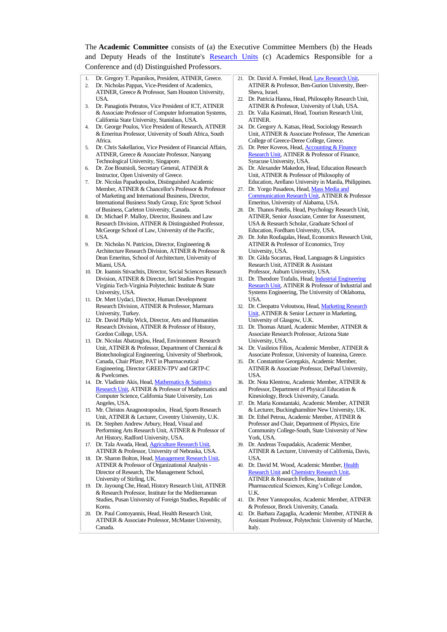The **Academic Committee** consists of (a) the Executive Committee Members (b) the Heads and Deputy Heads of the Institute's [Research Units](http://www.atiner.gr/RESEARCH-DIVISIONS.htm) (c) Academics Responsible for a Conference and (d) Distinguished Professors.

- 1. Dr. Gregory T. Papanikos, President, ATINER, Greece.
- 2. Dr. Nicholas Pappas, Vice-President of Academics, ATINER, Greece & Professor, Sam Houston University, USA.
- 3. Dr. Panagiotis Petratos, Vice President of ICT, ATINER & Associate Professor of Computer Information Systems, California State University, Stanislaus, USA.
- 4. Dr. George Poulos, Vice President of Research, ATINER & Emeritus Professor, University of South Africa, South Africa.
- 5. Dr. Chris Sakellariou, Vice President of Financial Affairs, ATINER, Greece & Associate Professor, Nanyang Technological University, Singapore.
- 6. Dr. Zoe Boutsioli, Secretary General, ATINER & Instructor, Open University of Greece.

7. Dr. Nicolas Papadopoulos, Distinguished Academic Member, ATINER & Chancellor's Professor & Professor of Marketing and International Business, Director, International Business Study Group, Eric Sprott School of Business, Carleton University, Canada.

- 8. Dr. Michael P. Malloy, Director, Business and Law Research Division, ATINER & Distinguished Professor, McGeorge School of Law, University of the Pacific, **I**ISA.
- 9. Dr. Nicholas N. Patricios, Director, Engineering & Architecture Research Division, ATINER & Professor & Dean Emeritus, School of Architecture, University of Miami, USA.
- 10. Dr. Ioannis Stivachtis, Director, Social Sciences Research Division, ATINER & Director, Int'l Studies Program Virginia Tech-Virginia Polytechnic Institute & State University, USA.
- 11. Dr. Mert Uydaci, Director, Human Development Research Division, ATINER & Professor, Marmara University, Turkey.
- 12. Dr. David Philip Wick, Director, Arts and Humanities Research Division, ATINER & Professor of History, Gordon College, USA.
- 13. Dr. Nicolas Abatzoglou, Head, Environment Research Unit, ATINER & Professor, Department of Chemical & Biotechnological Engineering, University of Sherbrook, Canada, Chair Pfizer, PAT in Pharmaceutical Engineering, Director GREEN-TPV and GRTP-C & Pwelcomes.
- 14. Dr. Vladimir Akis, Head, Mathematics & Statistics [Research Unit,](http://www.atiner.gr/docs/MATHEMATICS_UNIT.htm) ATINER & Professor of Mathematics and Computer Science, California State University, Los Angeles, USA.
- 15. Mr. Christos Anagnostopoulos, Head, Sports Research Unit, ATINER & Lecturer, Coventry University, U.K.
- 16. Dr. Stephen Andrew Arbury, Head, Visual and Performing Arts Research Unit, ATINER & Professor of Art History, Radford University, USA.
- 17. Dr. Tala Awada, Head[, Agriculture Research Unit,](http://www.atiner.gr/AGRICULTURE_UNIT.htm)  ATINER & Professor, University of Nebraska, USA.
- 18. Dr. Sharon Bolton, Head, Management Research Unit ATINER & Professor of Organizational Analysis - Director of Research, The Management School, University of Stirling, UK.
- 19. Dr. Jayoung Che, Head, History Research Unit, ATINER & Research Professor, Institute for the Mediterranean Studies, Pusan University of Foreign Studies, Republic of Korea.
- 20. Dr. Paul Contoyannis, Head, Health Research Unit, ATINER & Associate Professor, McMaster University, Canada.
- 21. Dr. David A. Frenkel, Head[, Law Research Unit,](http://www.atiner.gr/docs/LAW_UNIT.htm)  ATINER & Professor, Ben-Gurion University, Beer-Sheva, Israel.
- 22. Dr. Patricia Hanna, Head, Philosophy Research Unit, ATINER & Professor, University of Utah, USA.
- 23. Dr. Valia Kasimati, Head, Tourism Research Unit, ATINER.
- 24. Dr. Gregory A. Katsas, Head, Sociology Research Unit, ATINER & Associate Professor, The American College of Greece-Deree College, Greece.
- 25. Dr. Peter Koveos, Head[, Accounting & Finance](http://www.atiner.gr/docs/ACCOUNTING_UNIT.htm)  [Research Unit,](http://www.atiner.gr/docs/ACCOUNTING_UNIT.htm) ATINER & Professor of Finance, Syracuse University, USA.
- 26. Dr. Alexander Makedon, Head, Education Research Unit, ATINER & Professor of Philosophy of Education, Arellano University in Manila, Philippines.
- 27. Dr. Yorgo Pasadeos, Head[, Mass Media and](http://www.atiner.gr/docs/MEDIA_UNIT.htm)  [Communication Research Unit,](http://www.atiner.gr/docs/MEDIA_UNIT.htm) ATINER & Professor Emeritus, University of Alabama, USA.
- 28. Dr. Thanos Patelis, Head, Psychology Research Unit, ATINER, Senior Associate, Center for Assessment, USA & Research Scholar, Graduate School of Education, Fordham University, USA.
- 29. Dr. John Roufagalas, Head, Economics Research Unit, ATINER & Professor of Economics, Troy University, USA.
- 30. Dr. Gilda Socarras, Head, Languages & Linguistics Research Unit, ATINER & Assistant Professor, Auburn University, USA.
- 31. Dr. Theodore Trafalis, Head[, Industrial Engineering](http://www.atiner.gr/INDUSTRIAL-UNIT.htm)  [Research Unit,](http://www.atiner.gr/INDUSTRIAL-UNIT.htm) ATINER & Professor of Industrial and Systems Engineering, The University of Oklahoma, USA.
- 32. Dr. Cleopatra Veloutsou, Head[, Marketing Research](http://www.atiner.gr/docs/MARKETING_UNIT.htm)  [Unit,](http://www.atiner.gr/docs/MARKETING_UNIT.htm) ATINER & Senior Lecturer in Marketing, University of Glasgow, U.K.
- 33. Dr. Thomas Attard, Academic Member, ATINER & Associate Research Professor, Arizona State University, USA.
- 34. Dr. Vasileios Filios, Academic Member, ATINER & Associate Professor, University of Ioannina, Greece.
- 35. Dr. Constantine Georgakis, Academic Member, ATINER & Associate Professor, DePaul University, USA.
- 36. Dr. Nota Klentrou, Academic Member, ATINER & Professor, Department of Physical Education & Kinesiology, Brock University, Canada.
- 37. Dr. Maria Konstantaki, Academic Member, ATINER & Lecturer, Buckinghamshire New University, UK.
- 38. Dr. Ethel Petrou, Academic Member, ATINER & Professor and Chair, Department of Physics, Erie Community College-South, State University of New York, USA.
- 39. Dr. Andreas Toupadakis, Academic Member, ATINER & Lecturer, University of California, Davis, **I**ISA.
- 40. Dr. David M. Wood, Academic Member, [Health](http://www.atiner.gr/docs/HEALTH_UNIT.htm)  [Research Unit](http://www.atiner.gr/docs/HEALTH_UNIT.htm) and [Chemistry Research Unit,](http://www.atiner.gr/CHEMISTRY-UNIT.htm)  ATINER & Research Fellow, Institute of Pharmaceutical Sciences, King's College London, U.K.
- 41. Dr. Peter Yannopoulos, Academic Member, ATINER & Professor, Brock University, Canada.
- 42. Dr. Barbara Zagaglia, Academic Member, ATINER & Assistant Professor, Polytechnic University of Marche, Italy.